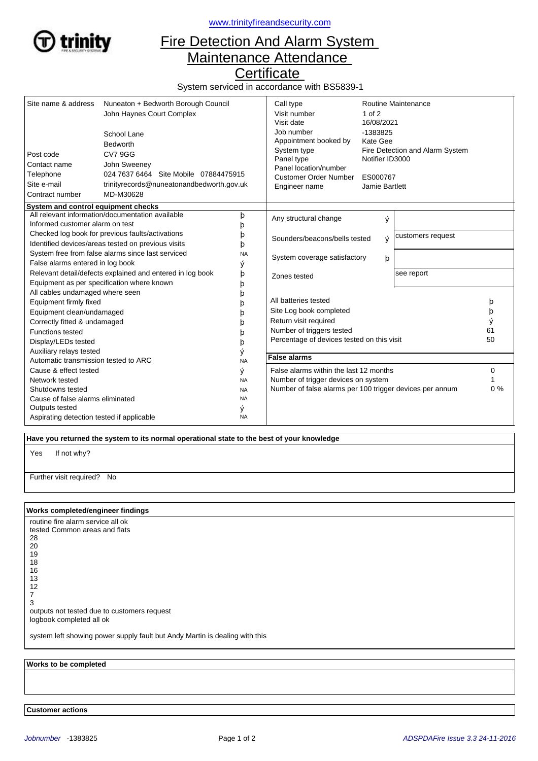

<www.trinityfireandsecurity.com>

## Fire Detection And Alarm System Maintenance Attendance

**Certificate** 

System serviced in accordance with BS5839-1

| Site name & address<br>Post code<br>Contact name<br>Telephone<br>Site e-mail<br>Contract number<br>System and control equipment checks | Nuneaton + Bedworth Borough Council<br>John Haynes Court Complex<br>School Lane<br><b>Bedworth</b><br><b>CV79GG</b><br>John Sweeney<br>024 7637 6464 Site Mobile 07884475915<br>trinityrecords@nuneatonandbedworth.gov.uk<br>MD-M30628 |           | Call type<br>Visit number<br>Visit date<br>Job number<br>Appointment booked by<br>System type<br>Panel type<br>Panel location/number<br><b>Customer Order Number</b><br>Engineer name | $1$ of $2$<br>16/08/2021<br>-1383825<br>Kate Gee<br>Notifier ID3000<br>ES000767<br>Jamie Bartlett | <b>Routine Maintenance</b><br>Fire Detection and Alarm System |    |
|----------------------------------------------------------------------------------------------------------------------------------------|----------------------------------------------------------------------------------------------------------------------------------------------------------------------------------------------------------------------------------------|-----------|---------------------------------------------------------------------------------------------------------------------------------------------------------------------------------------|---------------------------------------------------------------------------------------------------|---------------------------------------------------------------|----|
|                                                                                                                                        | All relevant information/documentation available                                                                                                                                                                                       | þ         | Any structural change                                                                                                                                                                 | ý                                                                                                 |                                                               |    |
| Informed customer alarm on test                                                                                                        |                                                                                                                                                                                                                                        | b         |                                                                                                                                                                                       |                                                                                                   |                                                               |    |
|                                                                                                                                        | Checked log book for previous faults/activations<br>Identified devices/areas tested on previous visits                                                                                                                                 | b<br>b    | Sounders/beacons/bells tested<br>ý                                                                                                                                                    |                                                                                                   | customers request                                             |    |
|                                                                                                                                        | System free from false alarms since last serviced                                                                                                                                                                                      | <b>NA</b> |                                                                                                                                                                                       |                                                                                                   |                                                               |    |
| False alarms entered in log book                                                                                                       |                                                                                                                                                                                                                                        | ý         |                                                                                                                                                                                       | System coverage satisfactory<br>þ                                                                 |                                                               |    |
|                                                                                                                                        | Relevant detail/defects explained and entered in log book                                                                                                                                                                              | þ         | Zones tested                                                                                                                                                                          |                                                                                                   | see report                                                    |    |
|                                                                                                                                        | Equipment as per specification where known                                                                                                                                                                                             | þ         |                                                                                                                                                                                       |                                                                                                   |                                                               |    |
| All cables undamaged where seen                                                                                                        |                                                                                                                                                                                                                                        | D         |                                                                                                                                                                                       |                                                                                                   |                                                               |    |
| Equipment firmly fixed                                                                                                                 |                                                                                                                                                                                                                                        | b         | All batteries tested                                                                                                                                                                  |                                                                                                   |                                                               | b  |
| Equipment clean/undamaged                                                                                                              |                                                                                                                                                                                                                                        |           | Site Log book completed                                                                                                                                                               |                                                                                                   | þ                                                             |    |
| Correctly fitted & undamaged                                                                                                           |                                                                                                                                                                                                                                        |           | Return visit required                                                                                                                                                                 |                                                                                                   |                                                               |    |
| <b>Functions tested</b>                                                                                                                |                                                                                                                                                                                                                                        | О         | Number of triggers tested                                                                                                                                                             |                                                                                                   | 61                                                            |    |
| Display/LEDs tested                                                                                                                    |                                                                                                                                                                                                                                        | þ         | Percentage of devices tested on this visit                                                                                                                                            |                                                                                                   | 50                                                            |    |
| Auxiliary relays tested                                                                                                                |                                                                                                                                                                                                                                        | ý         |                                                                                                                                                                                       |                                                                                                   |                                                               |    |
| Automatic transmission tested to ARC                                                                                                   |                                                                                                                                                                                                                                        | <b>NA</b> | <b>False alarms</b>                                                                                                                                                                   |                                                                                                   |                                                               |    |
| Cause & effect tested                                                                                                                  |                                                                                                                                                                                                                                        | ý         | False alarms within the last 12 months                                                                                                                                                |                                                                                                   |                                                               | 0  |
| Network tested                                                                                                                         |                                                                                                                                                                                                                                        | <b>NA</b> | Number of trigger devices on system                                                                                                                                                   |                                                                                                   |                                                               |    |
| Shutdowns tested                                                                                                                       |                                                                                                                                                                                                                                        | <b>NA</b> | Number of false alarms per 100 trigger devices per annum                                                                                                                              |                                                                                                   |                                                               | 0% |
| Cause of false alarms eliminated                                                                                                       |                                                                                                                                                                                                                                        | <b>NA</b> |                                                                                                                                                                                       |                                                                                                   |                                                               |    |
| Outputs tested                                                                                                                         |                                                                                                                                                                                                                                        | ý         |                                                                                                                                                                                       |                                                                                                   |                                                               |    |
| Aspirating detection tested if applicable                                                                                              |                                                                                                                                                                                                                                        | <b>NA</b> |                                                                                                                                                                                       |                                                                                                   |                                                               |    |

 **Have you returned the system to its normal operational state to the best of your knowledge**

If not why? Yes

Further visit required? No

## **Works completed/engineer findings**

routine fire alarm service all ok tested Common areas and flats 28 20 19 18 16 13 12 7 3 outputs not tested due to customers request logbook completed all ok

system left showing power supply fault but Andy Martin is dealing with this

 **Works to be completed**

 **Customer actions**